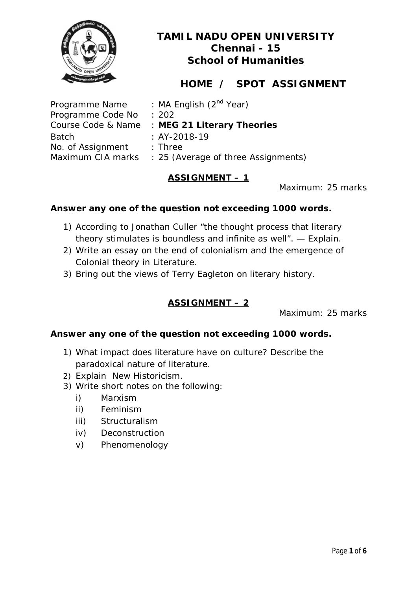

# **HOME / SPOT ASSIGNMENT**

Programme Code No : 202 Batch : AY-2018-19 No. of Assignment : Three

Programme Name : MA English (2<sup>nd</sup> Year) Course Code & Name : **MEG 21 Literary Theories** 

Maximum CIA marks : 25 (Average of three Assignments)

## **ASSIGNMENT – 1**

Maximum: 25 marks

## **Answer any one of the question not exceeding 1000 words.**

- 1) According to Jonathan Culler "the thought process that literary theory stimulates is boundless and infinite as well". — Explain.
- 2) Write an essay on the end of colonialism and the emergence of Colonial theory in Literature.
- 3) Bring out the views of Terry Eagleton on literary history.

## **ASSIGNMENT – 2**

Maximum: 25 marks

- 1) What impact does literature have on culture? Describe the paradoxical nature of literature.
- 2) Explain New Historicism.
- 3) Write short notes on the following:
	- i) Marxism
	- ii) Feminism
	- iii) Structuralism
	- iv) Deconstruction
	- v) Phenomenology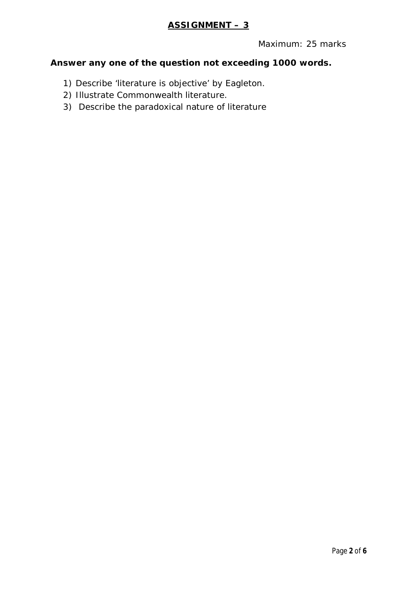## **ASSIGNMENT – 3**

Maximum: 25 marks

- 1) Describe 'literature is objective' by Eagleton.
- 2) Illustrate Commonwealth literature.
- 3) Describe the paradoxical nature of literature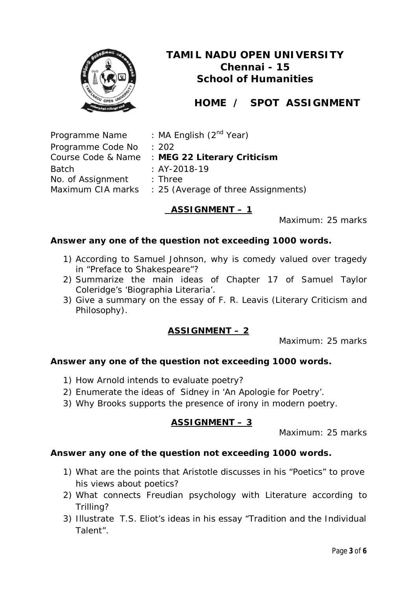

# **HOME / SPOT ASSIGNMENT**

Programme Name : MA English (2<sup>nd</sup> Year) Programme Code No : 202 Course Code & Name : **MEG 22 Literary Criticism** Batch : AY-2018-19 No. of Assignment : Three Maximum CIA marks : 25 (Average of three Assignments)

## **ASSIGNMENT – 1**

Maximum: 25 marks

#### **Answer any one of the question not exceeding 1000 words.**

- 1) According to Samuel Johnson, why is comedy valued over tragedy in "Preface to Shakespeare"?
- 2) Summarize the main ideas of Chapter 17 of Samuel Taylor Coleridge's 'Biographia Literaria'.
- 3) Give a summary on the essay of F. R. Leavis (Literary Criticism and Philosophy).

## **ASSIGNMENT – 2**

Maximum: 25 marks

## **Answer any one of the question not exceeding 1000 words.**

- 1) How Arnold intends to evaluate poetry?
- 2) Enumerate the ideas of Sidney in 'An Apologie for Poetry'.
- 3) Why Brooks supports the presence of irony in modern poetry.

## **ASSIGNMENT – 3**

Maximum: 25 marks

- 1) What are the points that Aristotle discusses in his "Poetics" to prove his views about poetics?
- 2) What connects Freudian psychology with Literature according to Trilling?
- 3) Illustrate T.S. Eliot's ideas in his essay "Tradition and the Individual Talent".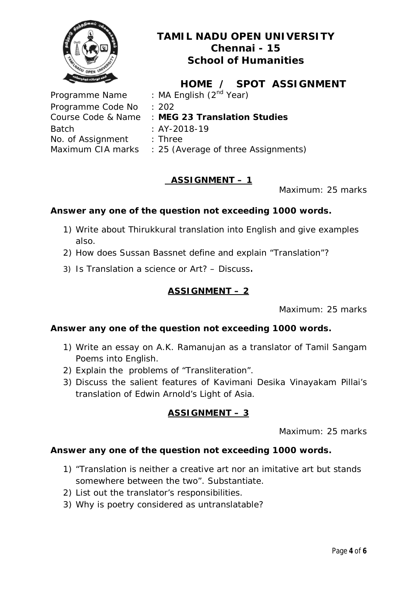

**HOME / SPOT ASSIGNMENT** Programme Name : MA English (2<sup>nd</sup> Year) Programme Code No : 202 Course Code & Name : **MEG 23 Translation Studies**  Batch : AY-2018-19 No. of Assignment : Three Maximum CIA marks : 25 (Average of three Assignments)

## **ASSIGNMENT – 1**

Maximum: 25 marks

## **Answer any one of the question not exceeding 1000 words.**

- 1) Write about Thirukkural translation into English and give examples also.
- 2) How does Sussan Bassnet define and explain "Translation"?
- 3) Is Translation a science or Art? Discuss.

### **ASSIGNMENT – 2**

Maximum: 25 marks

#### **Answer any one of the question not exceeding 1000 words.**

- 1) Write an essay on A.K. Ramanujan as a translator of Tamil Sangam Poems into English.
- 2) Explain the problems of "Transliteration".
- 3) Discuss the salient features of Kavimani Desika Vinayakam Pillai's translation of Edwin Arnold's *Light of Asia*.

## **ASSIGNMENT – 3**

Maximum: 25 marks

- 1) "Translation is neither a creative art nor an imitative art but stands somewhere between the two". Substantiate.
- 2) List out the translator's responsibilities.
- 3) Why is poetry considered as untranslatable?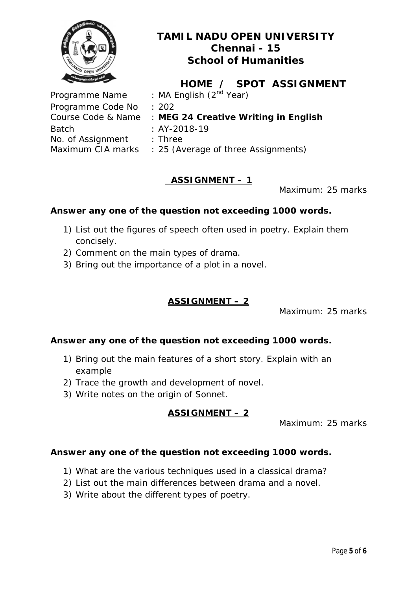

**HOME / SPOT ASSIGNMENT** Programme Name : MA English (2<sup>nd</sup> Year) Course Code & Name : **MEG 24 Creative Writing in English**

Programme Code No : 202 Batch : AY-2018-19 No. of Assignment : Three

Maximum CIA marks : 25 (Average of three Assignments)

## **ASSIGNMENT – 1**

Maximum: 25 marks

## **Answer any one of the question not exceeding 1000 words.**

- 1) List out the figures of speech often used in poetry. Explain them concisely.
- 2) Comment on the main types of drama.
- 3) Bring out the importance of a plot in a novel.

## **ASSIGNMENT – 2**

Maximum: 25 marks

## **Answer any one of the question not exceeding 1000 words.**

- 1) Bring out the main features of a short story. Explain with an example
- 2) Trace the growth and development of novel.
- 3) Write notes on the origin of Sonnet.

## **ASSIGNMENT – 2**

Maximum: 25 marks

- 1) What are the various techniques used in a classical drama?
- 2) List out the main differences between drama and a novel.
- 3) Write about the different types of poetry.